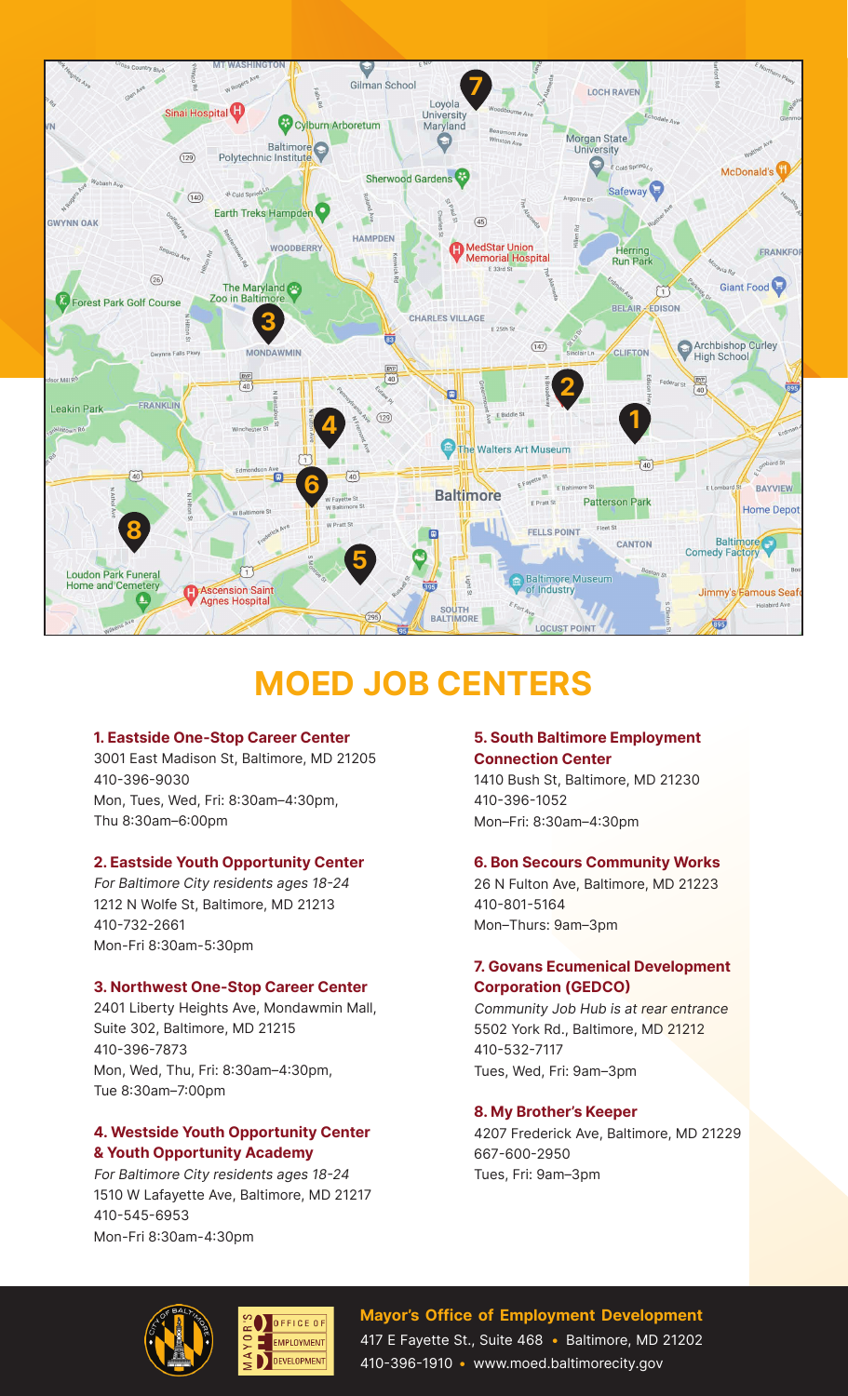

# **MOED JOB CENTERS**

### **1. Eastside One-Stop Career Center**

3001 East Madison St, Baltimore, MD 21205 410-396-9030 Mon, Tues, Wed, Fri: 8:30am–4:30pm, Thu 8:30am–6:00pm

# **2. Eastside Youth Opportunity Center**

For Baltimore City residents ages 18-24 1212 N Wolfe St, Baltimore, MD 21213 410-732-2661 Mon-Fri 8:30am-5:30pm

### **3. Northwest One-Stop Career Center**

2401 Liberty Heights Ave, Mondawmin Mall, Suite 302, Baltimore, MD 21215 410-396-7873 Mon, Wed, Thu, Fri: 8:30am–4:30pm, Tue 8:30am–7:00pm

# **4. Westside Youth Opportunity Center & Youth Opportunity Academy**

For Baltimore City residents ages 18-24 1510 W Lafayette Ave, Baltimore, MD 21217 410-545-6953 Mon-Fri 8:30am-4:30pm

# **5. South Baltimore Employment Connection Center**

1410 Bush St, Baltimore, MD 21230 410-396-1052 Mon–Fri: 8:30am–4:30pm

### **6. Bon Secours Community Works**

26 N Fulton Ave, Baltimore, MD 21223 410-801-5164 Mon–Thurs: 9am–3pm

# **7. Govans Ecumenical Development Corporation (GEDCO)**

Community Job Hub is at rear entrance 5502 York Rd., Baltimore, MD 21212 410-532-7117 Tues, Wed, Fri: 9am–3pm

# **8. My Brother's Keeper**

4207 Frederick Ave, Baltimore, MD 21229 667-600-2950 Tues, Fri: 9am–3pm





# **Mayor's Office of Employment Development** 417 E Fayette St., Suite 468 **•** Baltimore, MD 21202 410-396-1910 **•** www.moed.baltimorecity.gov